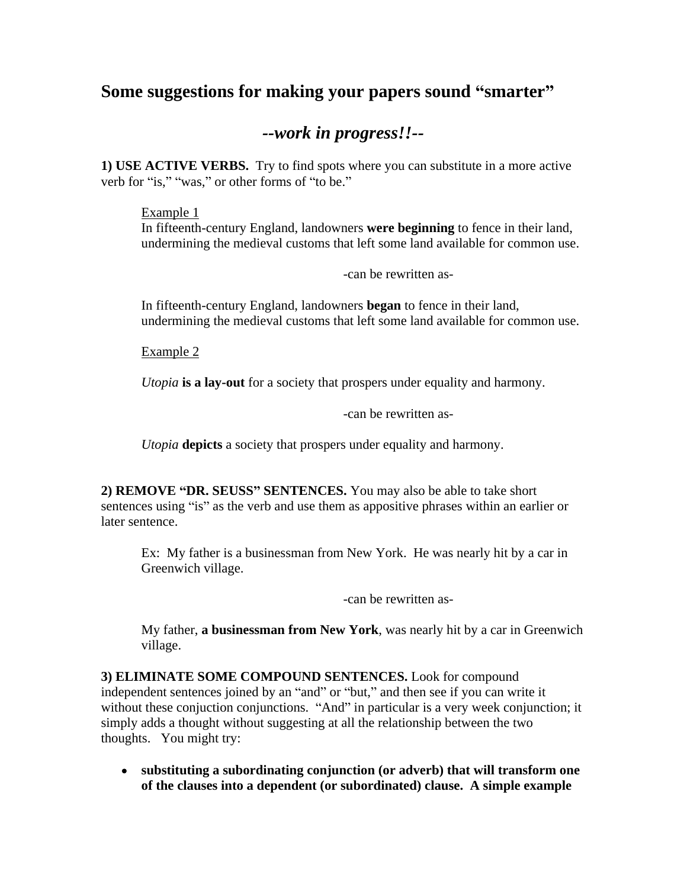# **Some** suggestions for making your papers sound "smarter"

# *--work in progress!!--*

**1) USE ACTIVE VERBS.** Try to find spots where you can substitute in a more active verb for "is," "was," or other forms of "to be."

### Example 1 and 200 and 200 and 200 and 200 and 200 and 200 and 200 and 200 and 200 and 200 and 200 and 200 and 200 and 200 and 200 and 200 and 200 and 200 and 200 and 200 and 200 and 200 and 200 and 200 and 200 and 200 and

In fifteenth-century England, landowners **were beginning** to fence in their land, undermining the medieval customs that left some land available for common use.

-can be rewritten as-

In fifteenth-century England, landowners **began** to fence in their land, undermining the medieval customs that left some land available for common use.

Example 2

*Utopia* **is a lay-out** for a society that prospers under equality and harmony.

-can be rewritten as-

*Utopia* **depicts** a society that prospers under equality and harmony.

**2) REMOVE DR. SEUSS SENTENCES.** You may also be able to take short sentences using "is" as the verb and use them as appositive phrases within an earlier or later sentence.

Ex: My father is a businessman from New York. He was nearly hit by a car in Greenwich village.

-can be rewritten as-

My father, **a businessman from New York**, was nearly hit by a car in Greenwich village. The contract of the contract of the contract of the contract of the contract of the contract of the contract of the contract of the contract of the contract of the contract of the contract of the contract of the c

**3) ELIMINATE SOME COMPOUND SENTENCES.** Look for compound independent sentences joined by an "and" or "but," and then see if you can write it without these conjuction conjunctions. "And" in particular is a very week conjunction; it simply adds a thought without suggesting at all the relationship between the two thoughts. You might try:

**substituting a subordinating conjunction (or adverb) that will transform one of the clauses into a dependent (or subordinated) clause. A simple example**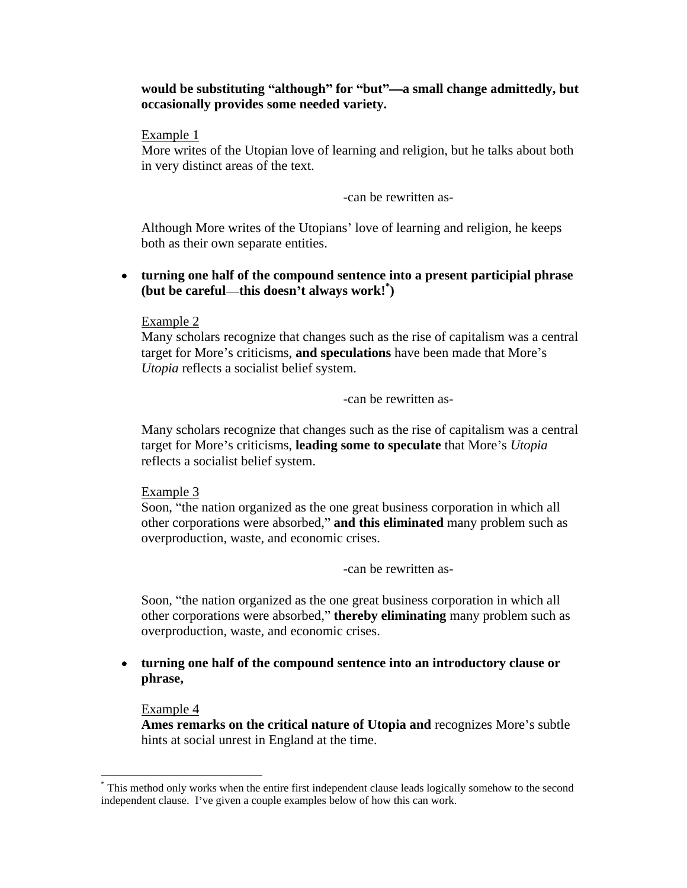#### **would** be substituting "although" for "but"—a small change admittedly, but **occasionally provides some needed variety.**

#### Example 1 and 200 and 200 and 200 and 200 and 200 and 200 and 200 and 200 and 200 and 200 and 200 and 200 and 200 and 200 and 200 and 200 and 200 and 200 and 200 and 200 and 200 and 200 and 200 and 200 and 200 and 200 and

More writes of the Utopian love of learning and religion, but he talks about both in very distinct areas of the text.

-can be rewritten as-

Although More writes of the Utopians' love of learning and religion, he keeps both as their own separate entities.

#### **turning one half of the compound sentence into a present participial phrase**   $(\text{but be careful—this doesn't always work!})$ **)**

#### Example 2

Many scholars recognize that changes such as the rise of capitalism was a central target for More's criticisms, and speculations have been made that More's *Utopia* reflects a socialist belief system.

-can be rewritten as-

Many scholars recognize that changes such as the rise of capitalism was a central target for More's criticisms, **leading some to speculate** that More's *Utopia* reflects a socialist belief system.

#### Example 3 and 200 and 200 and 200 and 200 and 200 and 200 and 200 and 200 and 200 and 200 and 200 and 200 and 200 and 200 and 200 and 200 and 200 and 200 and 200 and 200 and 200 and 200 and 200 and 200 and 200 and 200 and

Soon, "the nation organized as the one great business corporation in which all other corporations were absorbed," and this eliminated many problem such as overproduction, waste, and economic crises.

-can be rewritten as-

Soon, "the nation organized as the one great business corporation in which all other corporations were absorbed, **thereby eliminating** many problem such as overproduction, waste, and economic crises.

**turning one half of the compound sentence into an introductory clause or phrase,**

### Example 4

Ames remarks on the critical nature of Utopia and recognizes More's subtle hints at social unrest in England at the time.

 <sup>\*</sup> This method only works when the entire first independent clause leads logically somehow to the second independent clause. I've given a couple examples below of how this can work.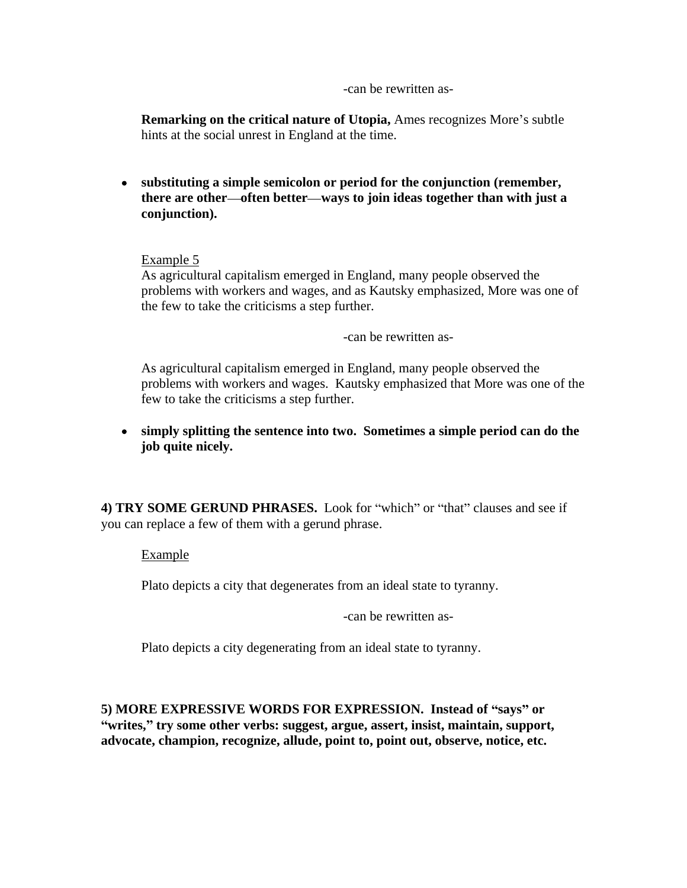-can be rewritten as-

**Remarking on the critical nature of Utopia, Ames recognizes More's subtle** hints at the social unrest in England at the time.

**substituting a simple semicolon or period for the conjunction (remember, there are other often better ways to join ideas together than with just a conjunction).**

# Example 5

As agricultural capitalism emerged in England, many people observed the problems with workers and wages, and as Kautsky emphasized, More was one of the few to take the criticisms a step further.

-can be rewritten as-

As agricultural capitalism emerged in England, many people observed the problems with workers and wages. Kautsky emphasized that More was one of the few to take the criticisms a step further.

### **simply splitting the sentence into two. Sometimes a simple period can do the job quite nicely.**

**4) TRY SOME GERUND PHRASES.** Look for "which" or "that" clauses and see if you can replace a few of them with a gerund phrase.

Example **Example** 

Plato depicts a city that degenerates from an ideal state to tyranny.

-can be rewritten as-

Plato depicts a city degenerating from an ideal state to tyranny.

**5) MORE EXPRESSIVE WORDS FOR EXPRESSION. Instead of says or writes, try some other verbs: suggest, argue, assert, insist, maintain, support, advocate, champion, recognize, allude, point to, point out, observe, notice, etc.**